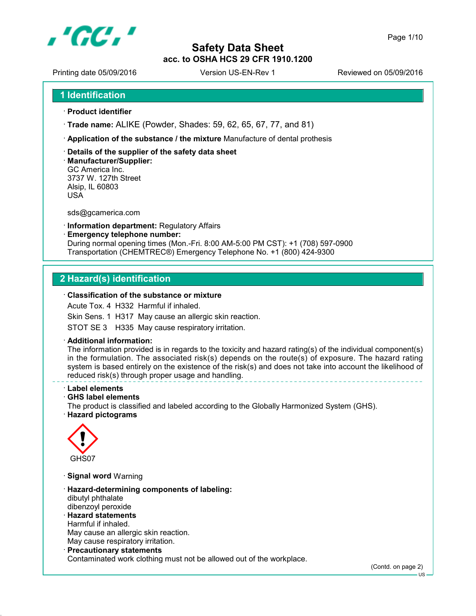

Printing date 05/09/2016 <br>
Version US-EN-Rev 1 Reviewed on 05/09/2016

- **Product identifier**
- **Trade name:** ALIKE (Powder, Shades: 59, 62, 65, 67, 77, and 81)
- **Application of the substance / the mixture** Manufacture of dental prothesis
- **Details of the supplier of the safety data sheet**
- **Manufacturer/Supplier:** GC America Inc. 3737 W. 127th Street Alsip, IL 60803 USA

sds@gcamerica.com

- **Information department:** Regulatory Affairs
- **Emergency telephone number:** During normal opening times (Mon.-Fri. 8:00 AM-5:00 PM CST): +1 (708) 597-0900 Transportation (CHEMTREC®) Emergency Telephone No. +1 (800) 424-9300

# **2 Hazard(s) identification**

#### **Classification of the substance or mixture**

Acute Tox. 4 H332 Harmful if inhaled.

Skin Sens. 1 H317 May cause an allergic skin reaction.

STOT SE 3 H335 May cause respiratory irritation.

#### **Additional information:**

The information provided is in regards to the toxicity and hazard rating(s) of the individual component(s) in the formulation. The associated risk(s) depends on the route(s) of exposure. The hazard rating system is based entirely on the existence of the risk(s) and does not take into account the likelihood of reduced risk(s) through proper usage and handling.

- **Label elements**
- **GHS label elements**

The product is classified and labeled according to the Globally Harmonized System (GHS).

**Hazard pictograms**



- **Signal word** Warning
- **Hazard-determining components of labeling:** dibutyl phthalate dibenzoyl peroxide **Hazard statements**
- Harmful if inhaled. May cause an allergic skin reaction. May cause respiratory irritation.
- **Precautionary statements** Contaminated work clothing must not be allowed out of the workplace.

(Contd. on page 2)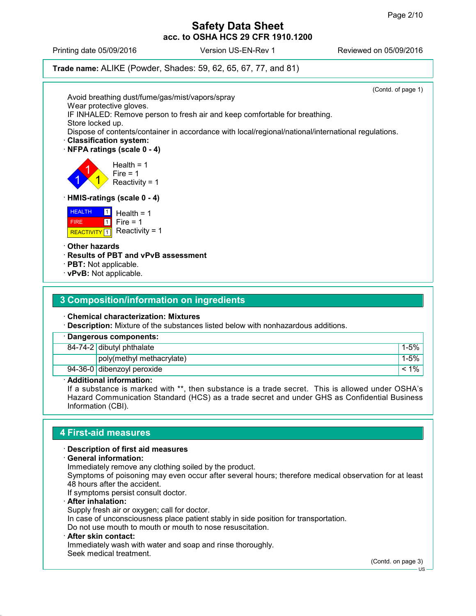Printing date 05/09/2016 Version US-EN-Rev 1 Reviewed on 05/09/2016

#### **Trade name:** ALIKE (Powder, Shades: 59, 62, 65, 67, 77, and 81)

(Contd. of page 1) Avoid breathing dust/fume/gas/mist/vapors/spray Wear protective gloves. IF INHALED: Remove person to fresh air and keep comfortable for breathing. Store locked up. Dispose of contents/container in accordance with local/regional/national/international regulations. **Classification system: NFPA ratings (scale 0 - 4)** 1 1 1 Health  $= 1$ Fire  $= 1$ Reactivity = 1 **HMIS-ratings (scale 0 - 4) HEALTH**  FIRE REACTIVITY 1 Reactivity = 1  $\Box$  $\overline{1}$ Health  $= 1$  $Fire = 1$  **Other hazards Results of PBT and vPvB assessment PBT:** Not applicable. **vPvB:** Not applicable.

### **3 Composition/information on ingredients**

#### **Chemical characterization: Mixtures**

**Description:** Mixture of the substances listed below with nonhazardous additions.

| · Dangerous components: |                             |           |
|-------------------------|-----------------------------|-----------|
|                         | $84-74-2$ dibutyl phthalate | 1-5%      |
|                         | poly(methyl methacrylate)   | $1 - 5\%$ |
|                         | 94-36-0 dibenzoyl peroxide  | 1%        |

#### **Additional information:**

If a substance is marked with \*\*, then substance is a trade secret. This is allowed under OSHA's Hazard Communication Standard (HCS) as a trade secret and under GHS as Confidential Business Information (CBI).

### **4 First-aid measures**

#### **Description of first aid measures**

**General information:**

Immediately remove any clothing soiled by the product.

Symptoms of poisoning may even occur after several hours; therefore medical observation for at least 48 hours after the accident.

If symptoms persist consult doctor.

**After inhalation:**

Supply fresh air or oxygen; call for doctor.

In case of unconsciousness place patient stably in side position for transportation.

Do not use mouth to mouth or mouth to nose resuscitation.

#### **After skin contact:**

Immediately wash with water and soap and rinse thoroughly. Seek medical treatment.

(Contd. on page 3)

US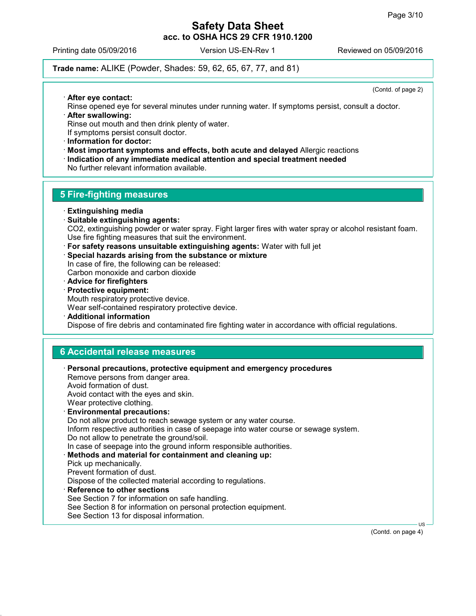Printing date 05/09/2016 Version US-EN-Rev 1 Reviewed on 05/09/2016

#### **Trade name:** ALIKE (Powder, Shades: 59, 62, 65, 67, 77, and 81)

(Contd. of page 2)

- **After eye contact:**
- Rinse opened eye for several minutes under running water. If symptoms persist, consult a doctor. **After swallowing:**

Rinse out mouth and then drink plenty of water. If symptoms persist consult doctor.

**Information for doctor:**

- **Most important symptoms and effects, both acute and delayed** Allergic reactions
- **Indication of any immediate medical attention and special treatment needed** No further relevant information available.

# **5 Fire-fighting measures**

- **Extinguishing media**
- **Suitable extinguishing agents:** CO2, extinguishing powder or water spray. Fight larger fires with water spray or alcohol resistant foam. Use fire fighting measures that suit the environment.
- **For safety reasons unsuitable extinguishing agents:** Water with full jet
- **Special hazards arising from the substance or mixture** In case of fire, the following can be released: Carbon monoxide and carbon dioxide
- **Advice for firefighters**
- **Protective equipment:**

Mouth respiratory protective device.

Wear self-contained respiratory protective device.

**Additional information**

Dispose of fire debris and contaminated fire fighting water in accordance with official regulations.

### **6 Accidental release measures**

 **Personal precautions, protective equipment and emergency procedures** Remove persons from danger area. Avoid formation of dust. Avoid contact with the eyes and skin. Wear protective clothing. **Environmental precautions:** Do not allow product to reach sewage system or any water course. Inform respective authorities in case of seepage into water course or sewage system. Do not allow to penetrate the ground/soil. In case of seepage into the ground inform responsible authorities. **Methods and material for containment and cleaning up:** Pick up mechanically. Prevent formation of dust. Dispose of the collected material according to regulations. **Reference to other sections** See Section 7 for information on safe handling. See Section 8 for information on personal protection equipment. See Section 13 for disposal information.

(Contd. on page 4)

US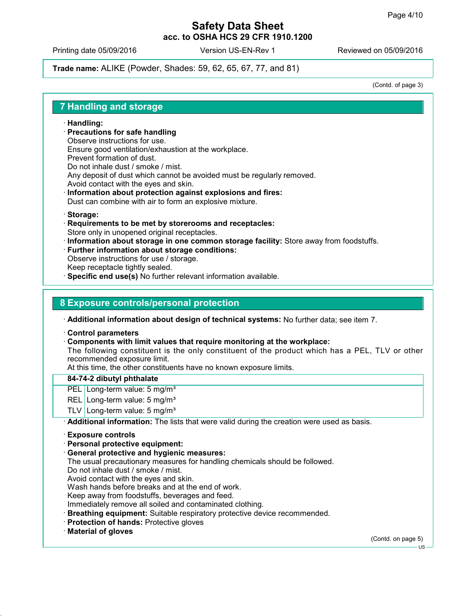Printing date 05/09/2016 Version US-EN-Rev 1 Reviewed on 05/09/2016

**Trade name:** ALIKE (Powder, Shades: 59, 62, 65, 67, 77, and 81)

(Contd. of page 3)

#### **7 Handling and storage**

#### **Handling:**

- **Precautions for safe handling** Observe instructions for use. Ensure good ventilation/exhaustion at the workplace. Prevent formation of dust. Do not inhale dust / smoke / mist. Any deposit of dust which cannot be avoided must be regularly removed.
- Avoid contact with the eyes and skin. **Information about protection against explosions and fires:**
- Dust can combine with air to form an explosive mixture.
- **Storage:**
- **Requirements to be met by storerooms and receptacles:** Store only in unopened original receptacles.
- **Information about storage in one common storage facility:** Store away from foodstuffs.
- **Further information about storage conditions:**
- Observe instructions for use / storage.
- Keep receptacle tightly sealed.
- **Specific end use(s)** No further relevant information available.

## **8 Exposure controls/personal protection**

**Additional information about design of technical systems:** No further data; see item 7.

- **Control parameters**
- **Components with limit values that require monitoring at the workplace:**

The following constituent is the only constituent of the product which has a PEL, TLV or other recommended exposure limit.

At this time, the other constituents have no known exposure limits.

#### **84-74-2 dibutyl phthalate**

- PEL Long-term value: 5 mg/m<sup>3</sup>
- REL Long-term value: 5 mg/m<sup>3</sup>
- TLV Long-term value: 5 mg/m<sup>3</sup>
- **Additional information:** The lists that were valid during the creation were used as basis.
- **Exposure controls**
- **Personal protective equipment:**
- **General protective and hygienic measures:**
- The usual precautionary measures for handling chemicals should be followed.
- Do not inhale dust / smoke / mist.
- Avoid contact with the eyes and skin.
- Wash hands before breaks and at the end of work.
- Keep away from foodstuffs, beverages and feed.
- Immediately remove all soiled and contaminated clothing.
- **Breathing equipment:** Suitable respiratory protective device recommended.
- **Protection of hands:** Protective gloves
- **Material of gloves**

(Contd. on page 5)

 $H<sub>S</sub>$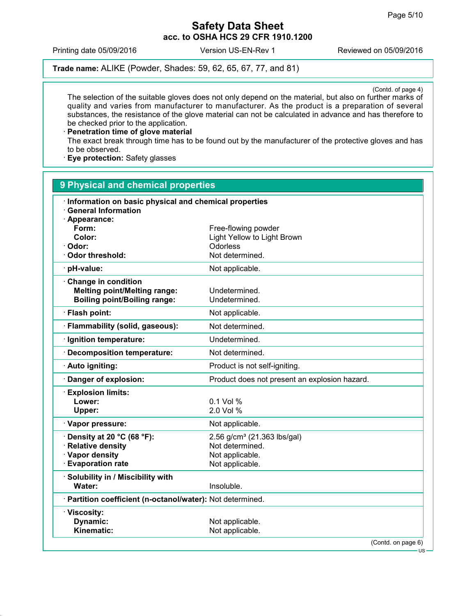Printing date 05/09/2016 Version US-EN-Rev 1 Reviewed on 05/09/2016

**Trade name:** ALIKE (Powder, Shades: 59, 62, 65, 67, 77, and 81)

(Contd. of page 4)

The selection of the suitable gloves does not only depend on the material, but also on further marks of quality and varies from manufacturer to manufacturer. As the product is a preparation of several substances, the resistance of the glove material can not be calculated in advance and has therefore to be checked prior to the application.

 **Penetration time of glove material** The exact break through time has to be found out by the manufacturer of the protective gloves and has to be observed.

**Eye protection:** Safety glasses

| 9 Physical and chemical properties                                                                         |                                                                                                  |
|------------------------------------------------------------------------------------------------------------|--------------------------------------------------------------------------------------------------|
| · Information on basic physical and chemical properties<br><b>General Information</b>                      |                                                                                                  |
| · Appearance:<br>Form:<br>Color:<br>Odor:<br><b>Odor threshold:</b>                                        | Free-flowing powder<br>Light Yellow to Light Brown<br>Odorless<br>Not determined.                |
| pH-value:                                                                                                  | Not applicable.                                                                                  |
| Change in condition<br><b>Melting point/Melting range:</b><br><b>Boiling point/Boiling range:</b>          | Undetermined.<br>Undetermined.                                                                   |
| · Flash point:                                                                                             | Not applicable.                                                                                  |
| · Flammability (solid, gaseous):                                                                           | Not determined.                                                                                  |
| Ignition temperature:                                                                                      | Undetermined.                                                                                    |
| <b>Decomposition temperature:</b>                                                                          | Not determined.                                                                                  |
| · Auto igniting:                                                                                           | Product is not self-igniting.                                                                    |
| Danger of explosion:                                                                                       | Product does not present an explosion hazard.                                                    |
| <b>Explosion limits:</b><br>Lower:<br>Upper:                                                               | $0.1$ Vol %<br>2.0 Vol %                                                                         |
| · Vapor pressure:                                                                                          | Not applicable.                                                                                  |
| $\cdot$ Density at 20 °C (68 °F):<br><b>Relative density</b><br>· Vapor density<br><b>Evaporation rate</b> | 2.56 g/cm <sup>3</sup> (21.363 lbs/gal)<br>Not determined.<br>Not applicable.<br>Not applicable. |
| · Solubility in / Miscibility with<br>Water:                                                               | Insoluble.                                                                                       |
| · Partition coefficient (n-octanol/water): Not determined.                                                 |                                                                                                  |
| · Viscosity:<br>Dynamic:<br>Kinematic:                                                                     | Not applicable.<br>Not applicable.                                                               |
|                                                                                                            | (Contd. on page 6)                                                                               |

US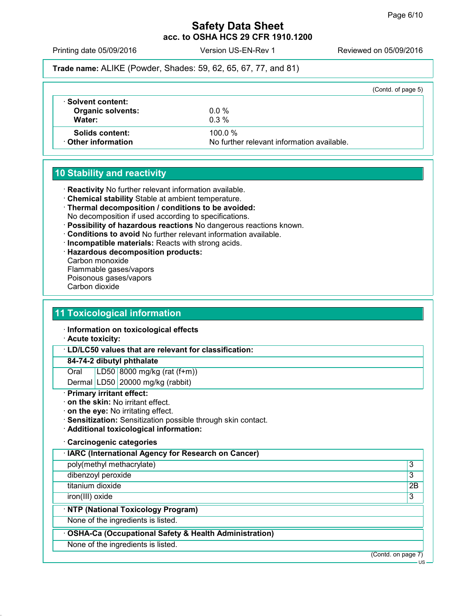Printing date 05/09/2016 Version US-EN-Rev 1 Reviewed on 05/09/2016

**Trade name:** ALIKE (Powder, Shades: 59, 62, 65, 67, 77, and 81)

|                                                                |                                                      | (Contd. of page 5) |
|----------------------------------------------------------------|------------------------------------------------------|--------------------|
| $\cdot$ Solvent content:<br><b>Organic solvents:</b><br>Water: | $0.0\%$<br>$0.3\%$                                   |                    |
| <b>Solids content:</b><br><b>⋅ Other information</b>           | 100.0%<br>No further relevant information available. |                    |

# **10 Stability and reactivity**

- **Reactivity** No further relevant information available.
- **Chemical stability** Stable at ambient temperature.
- **Thermal decomposition / conditions to be avoided:** No decomposition if used according to specifications.
- **Possibility of hazardous reactions** No dangerous reactions known.
- **Conditions to avoid** No further relevant information available.
- **Incompatible materials:** Reacts with strong acids.
- **Hazardous decomposition products:**
- Carbon monoxide Flammable gases/vapors Poisonous gases/vapors Carbon dioxide

## **11 Toxicological information**

- **Information on toxicological effects**
- **Acute toxicity:**

**LD/LC50 values that are relevant for classification:**

#### **84-74-2 dibutyl phthalate**

Oral LD50 8000 mg/kg (rat (f+m))

Dermal LD50 20000 mg/kg (rabbit)

#### **Primary irritant effect:**

- **on the skin:** No irritant effect.
- **on the eye:** No irritating effect.
- **Sensitization:** Sensitization possible through skin contact.
- **Additional toxicological information:**

#### **Carcinogenic categories**

| · IARC (International Agency for Research on Cancer)    |    |
|---------------------------------------------------------|----|
| poly(methyl methacrylate)                               | 3  |
| dibenzoyl peroxide                                      | 3  |
| titanium dioxide                                        | 2Β |
| iron(III) oxide                                         | 3  |
| · NTP (National Toxicology Program)                     |    |
| None of the ingredients is listed.                      |    |
| · OSHA-Ca (Occupational Safety & Health Administration) |    |
| None of the ingredients is listed.                      |    |
| (Contd. on page 7)                                      |    |
|                                                         | US |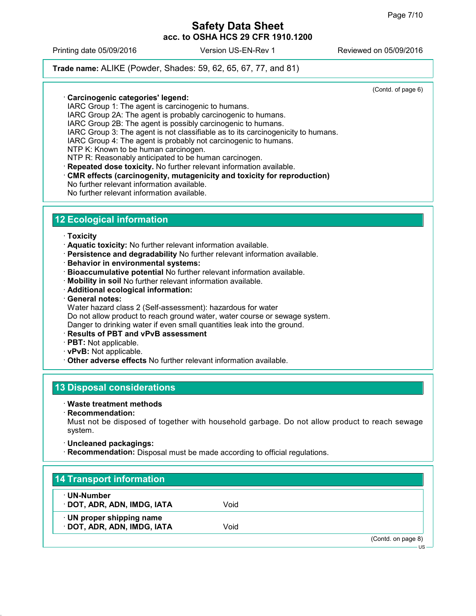Printing date 05/09/2016 Version US-EN-Rev 1 Reviewed on 05/09/2016

#### **Trade name:** ALIKE (Powder, Shades: 59, 62, 65, 67, 77, and 81)

(Contd. of page 6)

- **Carcinogenic categories' legend:**
- IARC Group 1: The agent is carcinogenic to humans.
- IARC Group 2A: The agent is probably carcinogenic to humans.
- IARC Group 2B: The agent is possibly carcinogenic to humans.
- IARC Group 3: The agent is not classifiable as to its carcinogenicity to humans.

IARC Group 4: The agent is probably not carcinogenic to humans.

NTP K: Known to be human carcinogen.

NTP R: Reasonably anticipated to be human carcinogen.

**Repeated dose toxicity.** No further relevant information available.

**CMR effects (carcinogenity, mutagenicity and toxicity for reproduction)**

- No further relevant information available.
- No further relevant information available.

# **12 Ecological information**

- **Toxicity**
- **Aquatic toxicity:** No further relevant information available.
- **Persistence and degradability** No further relevant information available.
- **Behavior in environmental systems:**
- **Bioaccumulative potential** No further relevant information available.
- **Mobility in soil** No further relevant information available.
- **Additional ecological information:**
- **General notes:**
- Water hazard class 2 (Self-assessment): hazardous for water

Do not allow product to reach ground water, water course or sewage system.

Danger to drinking water if even small quantities leak into the ground.

- **Results of PBT and vPvB assessment**
- **PBT:** Not applicable.
- **vPvB:** Not applicable.
- **Other adverse effects** No further relevant information available.

### **13 Disposal considerations**

#### **Waste treatment methods**

**Recommendation:**

Must not be disposed of together with household garbage. Do not allow product to reach sewage system.

- **Uncleaned packagings:**
- **Recommendation:** Disposal must be made according to official regulations.

# **14 Transport information**

- **UN-Number**
- **DOT, ADR, ADN, IMDG, IATA** Void
- **UN proper shipping name**
- **DOT, ADR, ADN, IMDG, IATA** Void

(Contd. on page 8)

US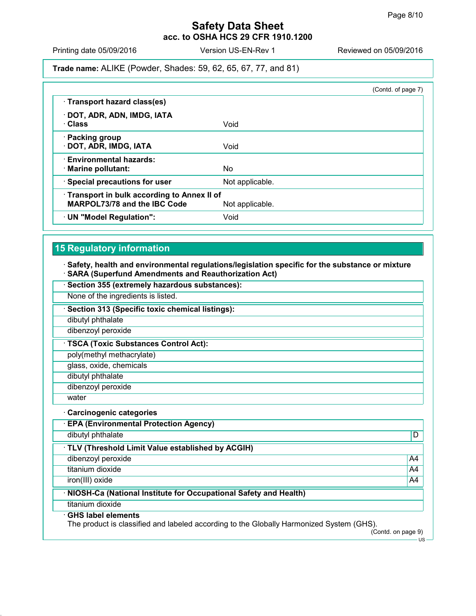Printing date 05/09/2016 <br>
Version US-EN-Rev 1 Reviewed on 05/09/2016

#### **Trade name:** ALIKE (Powder, Shades: 59, 62, 65, 67, 77, and 81)

|                                              | (Contd. of page 7) |
|----------------------------------------------|--------------------|
| · Transport hazard class(es)                 |                    |
| · DOT, ADR, ADN, IMDG, IATA                  |                    |
| · Class                                      | Void               |
| · Packing group                              |                    |
| · DOT, ADR, IMDG, IATA                       | Void               |
| <b>Environmental hazards:</b>                |                    |
| · Marine pollutant:                          | No.                |
| · Special precautions for user               | Not applicable.    |
| • Transport in bulk according to Annex II of |                    |
| MARPOL73/78 and the IBC Code                 | Not applicable.    |
| · UN "Model Regulation":                     | Void               |

# **15 Regulatory information**

**Safety, health and environmental regulations/legislation specific for the substance or mixture**

**SARA (Superfund Amendments and Reauthorization Act)**

| Section 355 (extremely hazardous substances):                                                                         |                    |
|-----------------------------------------------------------------------------------------------------------------------|--------------------|
| None of the ingredients is listed.                                                                                    |                    |
| Section 313 (Specific toxic chemical listings):                                                                       |                    |
| dibutyl phthalate                                                                                                     |                    |
| dibenzoyl peroxide                                                                                                    |                    |
| <b>TSCA (Toxic Substances Control Act):</b>                                                                           |                    |
| poly(methyl methacrylate)                                                                                             |                    |
| glass, oxide, chemicals                                                                                               |                    |
| dibutyl phthalate                                                                                                     |                    |
| dibenzoyl peroxide                                                                                                    |                    |
| water                                                                                                                 |                    |
| <b>Carcinogenic categories</b>                                                                                        |                    |
| <b>EPA (Environmental Protection Agency)</b>                                                                          |                    |
| dibutyl phthalate                                                                                                     | D                  |
| · TLV (Threshold Limit Value established by ACGIH)                                                                    |                    |
| dibenzoyl peroxide                                                                                                    | A4                 |
| titanium dioxide                                                                                                      | A4                 |
| iron(III) oxide                                                                                                       | A4                 |
| NIOSH-Ca (National Institute for Occupational Safety and Health)                                                      |                    |
| titanium dioxide                                                                                                      |                    |
| <b>GHS label elements</b><br>The product is classified and labeled according to the Globally Harmonized System (GHS). | (Contd. on page 9) |
|                                                                                                                       | · US –             |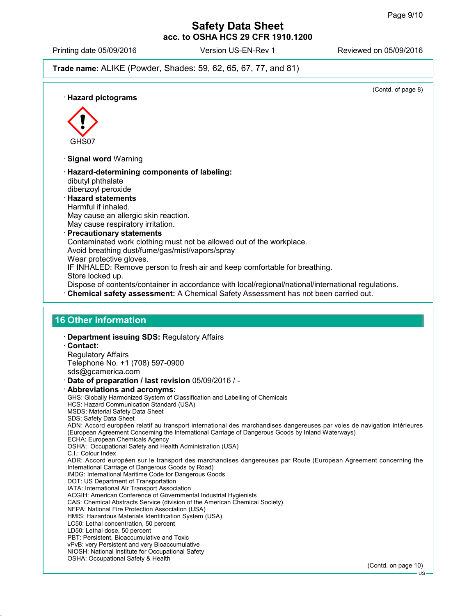Printing date 05/09/2016 Version US-EN-Rev 1 Reviewed on 05/09/2016

**Trade name:** ALIKE (Powder, Shades: 59, 62, 65, 67, 77, and 81)

(Contd. of page 8) **Hazard pictograms**  $\langle \cdot \rangle$ GHS07 **Signal word** Warning **Hazard-determining components of labeling:** dibutyl phthalate dibenzoyl peroxide **Hazard statements** Harmful if inhaled. May cause an allergic skin reaction. May cause respiratory irritation. **Precautionary statements** Contaminated work clothing must not be allowed out of the workplace. Avoid breathing dust/fume/gas/mist/vapors/spray Wear protective gloves. IF INHALED: Remove person to fresh air and keep comfortable for breathing. Store locked up. Dispose of contents/container in accordance with local/regional/national/international regulations. **Chemical safety assessment:** A Chemical Safety Assessment has not been carried out. **16 Other information Department issuing SDS:** Regulatory Affairs **Contact:** Regulatory Affairs Telephone No. +1 (708) 597-0900 sds@gcamerica.com **Date of preparation / last revision** 05/09/2016 / - **Abbreviations and acronyms:** GHS: Globally Harmonized System of Classification and Labelling of Chemicals HCS: Hazard Communication Standard (USA) MSDS: Material Safety Data Sheet SDS: Safety Data Sheet ADN: Accord européen relatif au transport international des marchandises dangereuses par voies de navigation intérieures (European Agreement Concerning the International Carriage of Dangerous Goods by Inland Waterways) ECHA: European Chemicals Agency OSHA: Occupational Safety and Health Administration (USA) C.I.: Colour Index ADR: Accord européen sur le transport des marchandises dangereuses par Route (European Agreement concerning the International Carriage of Dangerous Goods by Road) IMDG: International Maritime Code for Dangerous Goods DOT: US Department of Transportation IATA: International Air Transport Association ACGIH: American Conference of Governmental Industrial Hygienists CAS: Chemical Abstracts Service (division of the American Chemical Society) NFPA: National Fire Protection Association (USA) HMIS: Hazardous Materials Identification System (USA) LC50: Lethal concentration, 50 percent LD50: Lethal dose, 50 percent PBT: Persistent, Bioaccumulative and Toxic vPvB: very Persistent and very Bioaccumulative NIOSH: National Institute for Occupational Safety OSHA: Occupational Safety & Health